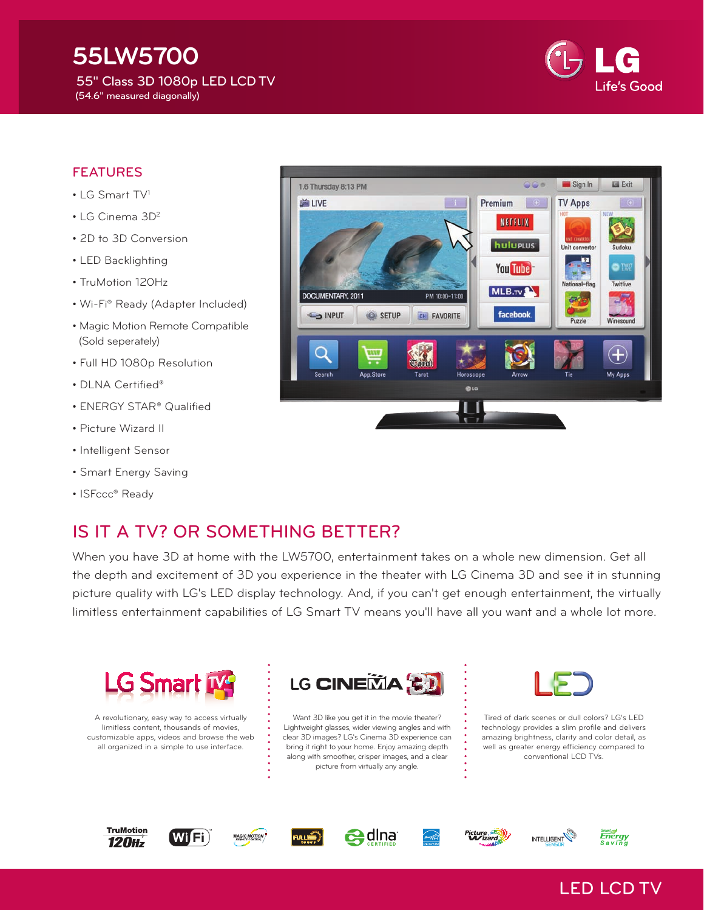## **55LW5700** 55" Class 3D 1080p LED LCD TV (54.6" measured diagonally)



#### FEATURES

- LG Smart TV<sup>1</sup>
- LG Cinema 3D<sup>2</sup>
- 2D to 3D Conversion
- LED Backlighting
- TruMotion 120Hz
- Wi-Fi® Ready (Adapter Included)
- Magic Motion Remote Compatible (Sold seperately)
- Full HD 1080p Resolution
- DLNA Certified®
- ENERGY STAR® Qualified
- Picture Wizard II
- Intelligent Sensor
- Smart Energy Saving
- ISFccc® Ready

# IS IT A TV? OR SOMETHING BETTER?

When you have 3D at home with the LW5700, entertainment takes on a whole new dimension. Get all the depth and excitement of 3D you experience in the theater with LG Cinema 3D and see it in stunning picture quality with LG's LED display technology. And, if you can't get enough entertainment, the virtually limitless entertainment capabilities of LG Smart TV means you'll have all you want and a whole lot more.



A revolutionary, easy way to access virtually limitless content, thousands of movies, customizable apps, videos and browse the web all organized in a simple to use interface.



Want 3D like you get it in the movie theater? Lightweight glasses, wider viewing angles and with clear 3D images? LG's Cinema 3D experience can bring it right to your home. Enjoy amazing depth along with smoother, crisper images, and a clear picture from virtually any angle.



Tired of dark scenes or dull colors? LG's LED technology provides a slim profile and delivers amazing brightness, clarity and color detail, as well as greater energy efficiency compared to conventional LCD TVs.